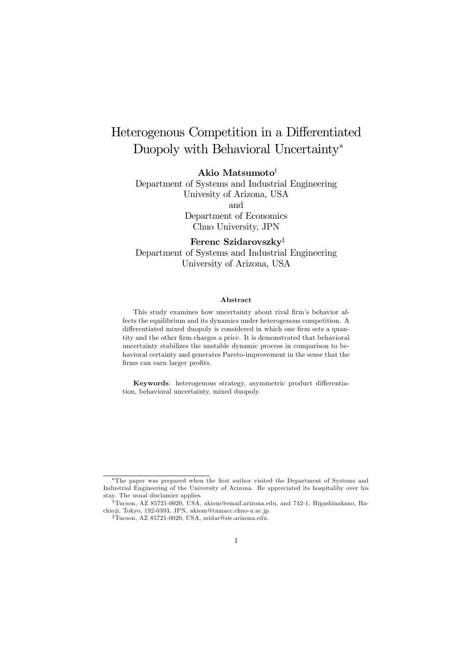# Heterogenous Competition in a Differentiated Duopoly with Behavioral Uncertainty<sup>∗</sup>

Akio Matsumoto†

Department of Systems and Industrial Engineering Univesity of Arizona, USA and Department of Economics Chuo University, JPN

Ferenc Szidarovszky‡ Department of Systems and Industrial Engineering University of Arizona, USA

#### Abstract

This study examines how uncertainty about rival firm's behavior affects the equilibrium and its dynamics under heterogenous competition. A differentiated mixed duopoly is considered in which one firm sets a quantity and the other firm charges a price. It is demonstrated that behavioral uncertainty stabilizes the unstable dynamic process in comparison to behavioral certainty and generates Pareto-improvement in the sense that the firms can earn larger profits.

Keywords: heterogenous strategy, asymmetric product differentiation, behavioral uncertainty, mixed duopoly.

<sup>∗</sup>The paper was prepared when the first author visited the Department of Systems and Industrial Engineering of the University of Arizona. He appreciated its hospitaliby over his stay. The usual disclamier applies.

<sup>†</sup>Tucson, AZ 85721-0020, USA, akiom@email.arizona.edu, and 742-1, Higashinakano, Hachio ji, Tokyo, 192-0393, JPN, akiom@tamacc.chuo-u.ac.jp.

<sup>‡</sup>Tucson, AZ 85721-0020, USA, szidar@sie.arizona.edu.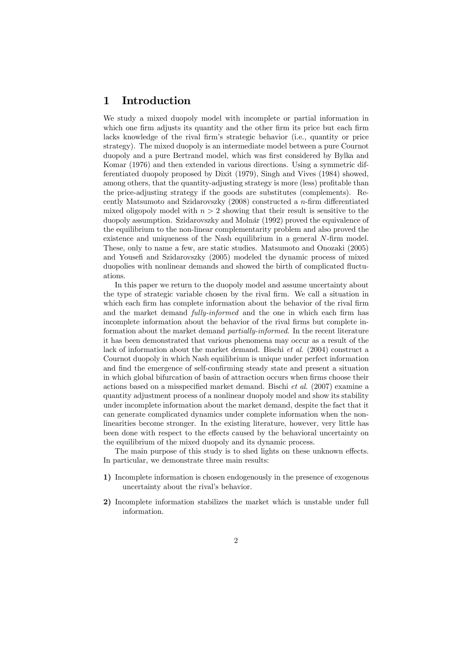### 1 Introduction

We study a mixed duopoly model with incomplete or partial information in which one firm adjusts its quantity and the other firm its price but each firm lacks knowledge of the rival firm's strategic behavior (i.e., quantity or price strategy). The mixed duopoly is an intermediate model between a pure Cournot duopoly and a pure Bertrand model, which was first considered by Bylka and Komar (1976) and then extended in various directions. Using a symmetric differentiated duopoly proposed by Dixit (1979), Singh and Vives (1984) showed, among others, that the quantity-adjusting strategy is more (less) profitable than the price-adjusting strategy if the goods are substitutes (complements). Recently Matsumoto and Szidarovszky (2008) constructed a n-firm differentiated mixed oligopoly model with  $n > 2$  showing that their result is sensitive to the duopoly assumption. Szidarovszky and Molnár (1992) proved the equivalence of the equilibrium to the non-linear complementarity problem and also proved the existence and uniqueness of the Nash equilibrium in a general N-firm model. These, only to name a few, are static studies. Matsumoto and Onozaki (2005) and Yousefi and Szidarovszky (2005) modeled the dynamic process of mixed duopolies with nonlinear demands and showed the birth of complicated fluctuations.

In this paper we return to the duopoly model and assume uncertainty about the type of strategic variable chosen by the rival firm. We call a situation in which each firm has complete information about the behavior of the rival firm and the market demand fully-informed and the one in which each firm has incomplete information about the behavior of the rival firms but complete information about the market demand partially-informed. In the recent literature it has been demonstrated that various phenomena may occur as a result of the lack of information about the market demand. Bischi et al. (2004) construct a Cournot duopoly in which Nash equilibrium is unique under perfect information and find the emergence of self-confirming steady state and present a situation in which global bifurcation of basin of attraction occurs when firms choose their actions based on a misspecified market demand. Bischi et al. (2007) examine a quantity adjustment process of a nonlinear duopoly model and show its stability under incomplete information about the market demand, despite the fact that it can generate complicated dynamics under complete information when the nonlinearities become stronger. In the existing literature, however, very little has been done with respect to the effects caused by the behavioral uncertainty on the equilibrium of the mixed duopoly and its dynamic process.

The main purpose of this study is to shed lights on these unknown effects. In particular, we demonstrate three main results:

- 1) Incomplete information is chosen endogenously in the presence of exogenous uncertainty about the rival's behavior.
- 2) Incomplete information stabilizes the market which is unstable under full information.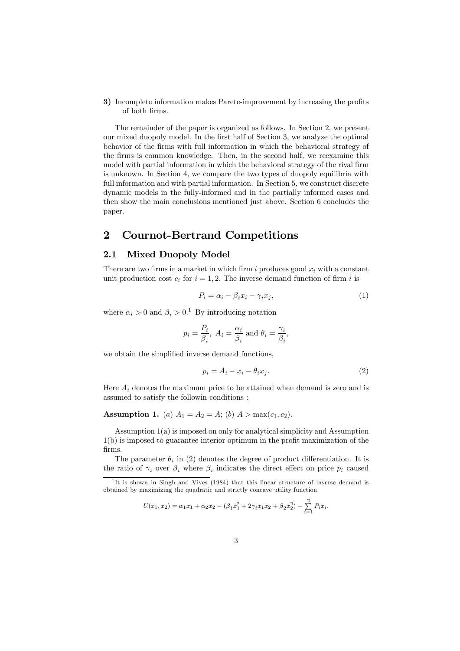3) Incomplete information makes Parete-improvement by increasing the profits of both firms.

The remainder of the paper is organized as follows. In Section 2, we present our mixed duopoly model. In the first half of Section 3, we analyze the optimal behavior of the firms with full information in which the behavioral strategy of the firms is common knowledge. Then, in the second half, we reexamine this model with partial information in which the behavioral strategy of the rival firm is unknown. In Section 4, we compare the two types of duopoly equilibria with full information and with partial information. In Section 5, we construct discrete dynamic models in the fully-informed and in the partially informed cases and then show the main conclusions mentioned just above. Section 6 concludes the paper.

### 2 Cournot-Bertrand Competitions

### 2.1 Mixed Duopoly Model

There are two firms in a market in which firm i produces good  $x_i$  with a constant unit production cost  $c_i$  for  $i = 1, 2$ . The inverse demand function of firm i is

$$
P_i = \alpha_i - \beta_i x_i - \gamma_i x_j,\tag{1}
$$

where  $\alpha_i > 0$  and  $\beta_i > 0$ .<sup>1</sup> By introducing notation

$$
p_i = \frac{P_i}{\beta_i}
$$
,  $A_i = \frac{\alpha_i}{\beta_i}$  and  $\theta_i = \frac{\gamma_i}{\beta_i}$ ,

we obtain the simplified inverse demand functions,

$$
p_i = A_i - x_i - \theta_i x_j. \tag{2}
$$

Here  $A_i$  denotes the maximum price to be attained when demand is zero and is assumed to satisfy the followin conditions :

Assumption 1. (a)  $A_1 = A_2 = A$ ; (b)  $A > max(c_1, c_2)$ .

Assumption 1(a) is imposed on only for analytical simplicity and Assumption 1(b) is imposed to guarantee interior optimum in the profit maximization of the firms.

The parameter  $\theta_i$  in (2) denotes the degree of product differentiation. It is the ratio of  $\gamma_i$  over  $\beta_i$  where  $\beta_i$  indicates the direct effect on price  $p_i$  caused

$$
U(x_1, x_2) = \alpha_1 x_1 + \alpha_2 x_2 - (\beta_1 x_1^2 + 2\gamma_i x_1 x_2 + \beta_2 x_2^2) - \sum_{i=1}^{2} P_i x_i.
$$

 $1$ It is shown in Singh and Vives (1984) that this linear structure of inverse demand is obtained by maximizing the quadratic and strictly concave utility function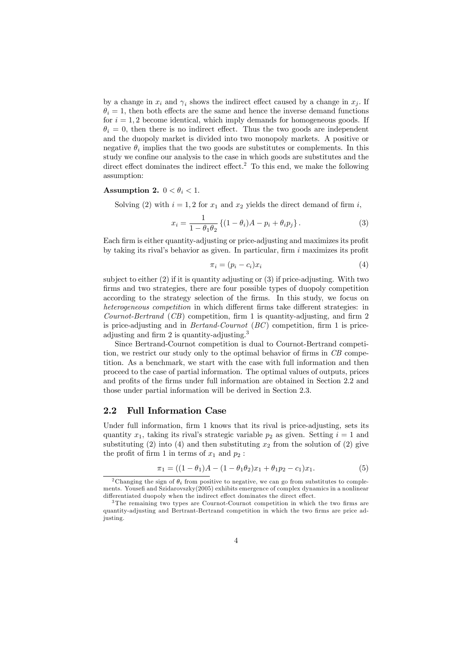by a change in  $x_i$  and  $\gamma_i$  shows the indirect effect caused by a change in  $x_j$ . If  $\theta_i = 1$ , then both effects are the same and hence the inverse demand functions for  $i = 1, 2$  become identical, which imply demands for homogeneous goods. If  $\theta_i = 0$ , then there is no indirect effect. Thus the two goods are independent and the duopoly market is divided into two monopoly markets. A positive or negative  $\theta_i$  implies that the two goods are substitutes or complements. In this study we confine our analysis to the case in which goods are substitutes and the direct effect dominates the indirect effect.<sup>2</sup> To this end, we make the following assumption:

#### Assumption 2.  $0 < \theta_i < 1$ .

Solving (2) with  $i = 1, 2$  for  $x_1$  and  $x_2$  yields the direct demand of firm i,

$$
x_i = \frac{1}{1 - \theta_1 \theta_2} \left\{ (1 - \theta_i) A - p_i + \theta_i p_j \right\}.
$$
 (3)

Each firm is either quantity-adjusting or price-adjusting and maximizes its profit by taking its rival's behavior as given. In particular, firm  $i$  maximizes its profit

$$
\pi_i = (p_i - c_i)x_i \tag{4}
$$

subject to either (2) if it is quantity adjusting or (3) if price-adjusting. With two firms and two strategies, there are four possible types of duopoly competition according to the strategy selection of the firms. In this study, we focus on heterogeneous competition in which different firms take different strategies: in Cournot-Bertrand (CB) competition, firm 1 is quantity-adjusting, and firm 2 is price-adjusting and in Bertand-Cournot (BC) competition, firm 1 is priceadjusting and firm 2 is quantity-adjusting.<sup>3</sup>

Since Bertrand-Cournot competition is dual to Cournot-Bertrand competition, we restrict our study only to the optimal behavior of firms in CB competition. As a benchmark, we start with the case with full information and then proceed to the case of partial information. The optimal values of outputs, prices and profits of the firms under full information are obtained in Section 2.2 and those under partial information will be derived in Section 2.3.

#### 2.2 Full Information Case

Under full information, firm 1 knows that its rival is price-adjusting, sets its quantity  $x_1$ , taking its rival's strategic variable  $p_2$  as given. Setting  $i = 1$  and substituting (2) into (4) and then substituting  $x_2$  from the solution of (2) give the profit of firm 1 in terms of  $x_1$  and  $p_2$ :

$$
\pi_1 = ((1 - \theta_1)A - (1 - \theta_1 \theta_2)x_1 + \theta_1 p_2 - c_1)x_1.
$$
\n(5)

<sup>&</sup>lt;sup>2</sup>Changing the sign of  $\theta_i$  from positive to negative, we can go from substitutes to complements. Yousefi and Szidarovszky(2005) exhibits emergence of complex dynamics in a nonlinear differentiated duopoly when the indirect effect dominates the direct effect.

<sup>&</sup>lt;sup>3</sup>The remaining two types are Cournot-Cournot competition in which the two firms are quantity-adjusting and Bertrant-Bertrand competition in which the two firms are price adjusting.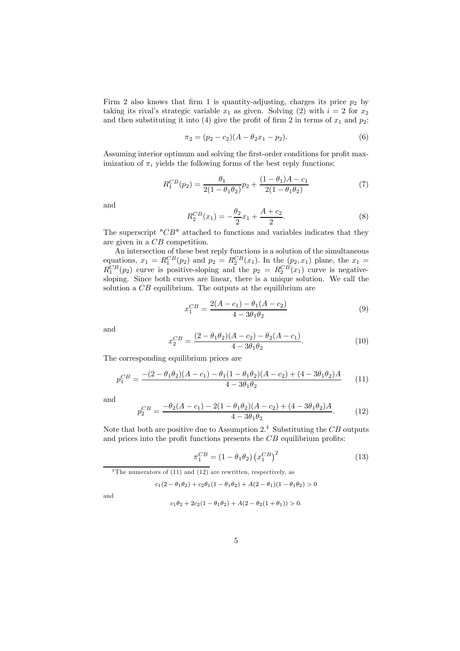Firm 2 also knows that firm 1 is quantity-adjusting, charges its price  $p_2$  by taking its rival's strategic variable  $x_1$  as given. Solving (2) with  $i = 2$  for  $x_2$ and then substituting it into (4) give the profit of firm 2 in terms of  $x_1$  and  $p_2$ :

$$
\pi_2 = (p_2 - c_2)(A - \theta_2 x_1 - p_2). \tag{6}
$$

Assuming interior optimum and solving the first-order conditions for profit maximization of  $\pi_i$  yields the following forms of the best reply functions:

$$
R_1^{CB}(p_2) = \frac{\theta_1}{2(1 - \theta_1 \theta_2)} p_2 + \frac{(1 - \theta_1)A - c_1}{2(1 - \theta_1 \theta_2)}
$$
(7)

and

$$
R_2^{CB}(x_1) = -\frac{\theta_2}{2}x_1 + \frac{A + c_2}{2}.
$$
 (8)

The superscript "CB" attached to functions and variables indicates that they are given in a CB competition.

An intersection of these best reply functions is a solution of the simultaneous equations,  $x_1 = R_1^{CB}(p_2)$  and  $p_2 = R_2^{CB}(x_1)$ . In the  $(p_2, x_1)$  plane, the  $x_1 =$  $R_1^{CB}(p_2)$  curve is positive-sloping and the  $p_2 = R_2^{CB}(x_1)$  curve is negativesloping. Since both curves are linear, there is a unique solution. We call the solution a CB equilibrium. The outputs at the equilibrium are

$$
x_1^{CB} = \frac{2(A - c_1) - \theta_1(A - c_2)}{4 - 3\theta_1\theta_2} \tag{9}
$$

and

$$
x_2^{CB} = \frac{(2 - \theta_1 \theta_2)(A - c_2) - \theta_2(A - c_1)}{4 - 3\theta_1 \theta_2}.
$$
\n(10)

The corresponding equilibrium prices are

$$
p_1^{CB} = \frac{-(2 - \theta_1 \theta_2)(A - c_1) - \theta_1 (1 - \theta_1 \theta_2)(A - c_2) + (4 - 3\theta_1 \theta_2)A}{4 - 3\theta_1 \theta_2} \tag{11}
$$

and

$$
p_2^{CB} = \frac{-\theta_2(A - c_1) - 2(1 - \theta_1 \theta_2)(A - c_2) + (4 - 3\theta_1 \theta_2)A}{4 - 3\theta_1 \theta_2}.
$$
 (12)

Note that both are positive due to Assumption  $2<sup>4</sup>$  Substituting the CB outputs and prices into the profit functions presents the  $CB$  equilibrium profits:

$$
\pi_1^{CB} = (1 - \theta_1 \theta_2) \left( x_1^{CB} \right)^2 \tag{13}
$$

<sup>4</sup>The numerators of  $(11)$  and  $(12)$  are rewritten, respectively, as

$$
c_1(2 - \theta_1\theta_2) + c_2\theta_1(1 - \theta_1\theta_2) + A(2 - \theta_1)(1 - \theta_1\theta_2) > 0
$$

and

$$
c_1\theta_2 + 2c_2(1 - \theta_1\theta_2) + A(2 - \theta_2(1 + \theta_1)) > 0.
$$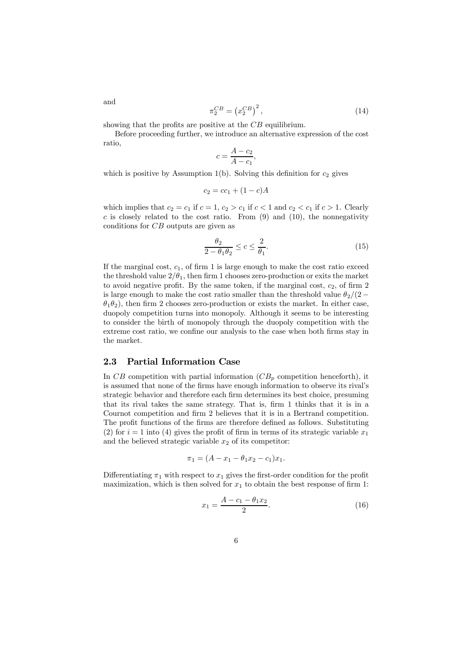$$
\pi_2^{CB} = \left(x_2^{CB}\right)^2,\tag{14}
$$

showing that the profits are positive at the  $CB$  equilibrium.

Before proceeding further, we introduce an alternative expression of the cost ratio,

$$
c = \frac{A - c_2}{A - c_1}
$$

,

which is positive by Assumption 1(b). Solving this definition for  $c_2$  gives

$$
c_2 = cc_1 + (1 - c)A
$$

which implies that  $c_2 = c_1$  if  $c = 1, c_2 > c_1$  if  $c < 1$  and  $c_2 < c_1$  if  $c > 1$ . Clearly c is closely related to the cost ratio. From  $(9)$  and  $(10)$ , the nonnegativity conditions for CB outputs are given as

$$
\frac{\theta_2}{2 - \theta_1 \theta_2} \le c \le \frac{2}{\theta_1}.\tag{15}
$$

If the marginal cost,  $c_1$ , of firm 1 is large enough to make the cost ratio exceed the threshold value  $2/\theta_1$ , then firm 1 chooses zero-production or exits the market to avoid negative profit. By the same token, if the marginal cost,  $c_2$ , of firm 2 is large enough to make the cost ratio smaller than the threshold value  $\theta_2/(2 \theta_1\theta_2$ ), then firm 2 chooses zero-production or exists the market. In either case, duopoly competition turns into monopoly. Although it seems to be interesting to consider the birth of monopoly through the duopoly competition with the extreme cost ratio, we confine our analysis to the case when both firms stay in the market.

#### 2.3 Partial Information Case

In CB competition with partial information  $(CB_p \text{ competition henceforth})$ , it is assumed that none of the firms have enough information to observe its rival's strategic behavior and therefore each firm determines its best choice, presuming that its rival takes the same strategy. That is, firm 1 thinks that it is in a Cournot competition and firm 2 believes that it is in a Bertrand competition. The profit functions of the firms are therefore defined as follows. Substituting (2) for  $i = 1$  into (4) gives the profit of firm in terms of its strategic variable  $x_1$ and the believed strategic variable  $x_2$  of its competitor:

$$
\pi_1 = (A - x_1 - \theta_1 x_2 - c_1)x_1.
$$

Differentiating  $\pi_1$  with respect to  $x_1$  gives the first-order condition for the profit maximization, which is then solved for  $x_1$  to obtain the best response of firm 1:

$$
x_1 = \frac{A - c_1 - \theta_1 x_2}{2}.
$$
\n(16)

and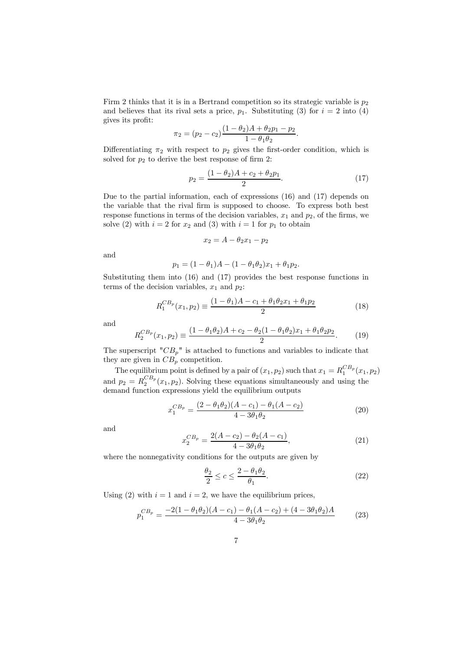Firm 2 thinks that it is in a Bertrand competition so its strategic variable is  $p_2$ and believes that its rival sets a price,  $p_1$ . Substituting (3) for  $i = 2$  into (4) gives its profit:

$$
\pi_2 = (p_2 - c_2) \frac{(1 - \theta_2)A + \theta_2 p_1 - p_2}{1 - \theta_1 \theta_2}
$$

Differentiating  $\pi_2$  with respect to  $p_2$  gives the first-order condition, which is solved for  $p_2$  to derive the best response of firm 2:

$$
p_2 = \frac{(1 - \theta_2)A + c_2 + \theta_2 p_1}{2}.
$$
\n(17)

.

Due to the partial information, each of expressions (16) and (17) depends on the variable that the rival firm is supposed to choose. To express both best response functions in terms of the decision variables,  $x_1$  and  $p_2$ , of the firms, we solve (2) with  $i = 2$  for  $x_2$  and (3) with  $i = 1$  for  $p_1$  to obtain

$$
x_2 = A - \theta_2 x_1 - p_2
$$

and

$$
p_1 = (1 - \theta_1)A - (1 - \theta_1 \theta_2)x_1 + \theta_1 p_2.
$$

Substituting them into (16) and (17) provides the best response functions in terms of the decision variables,  $x_1$  and  $p_2$ :

$$
R_1^{CB_p}(x_1, p_2) \equiv \frac{(1 - \theta_1)A - c_1 + \theta_1 \theta_2 x_1 + \theta_1 p_2}{2}
$$
\n(18)

and

$$
R_2^{CB_p}(x_1, p_2) \equiv \frac{(1 - \theta_1 \theta_2)A + c_2 - \theta_2 (1 - \theta_1 \theta_2) x_1 + \theta_1 \theta_2 p_2}{2}.
$$
 (19)

The superscript " $CB_p$ " is attached to functions and variables to indicate that they are given in  $CB_p$  competition.

The equilibrium point is defined by a pair of  $(x_1, p_2)$  such that  $x_1 = R_1^{CB_p}(x_1, p_2)$ and  $p_2 = R_2^{CB_p}(x_1, p_2)$ . Solving these equations simultaneously and using the demand function expressions yield the equilibrium outputs

$$
x_1^{CB_p} = \frac{(2 - \theta_1 \theta_2)(A - c_1) - \theta_1 (A - c_2)}{4 - 3\theta_1 \theta_2} \tag{20}
$$

and

$$
c_2^{CB_p} = \frac{2(A - c_2) - \theta_2(A - c_1)}{4 - 3\theta_1\theta_2},
$$
\n(21)

where the nonnegativity conditions for the outputs are given by

 $\overline{\phantom{a}}$ 

$$
\frac{\theta_2}{2} \le c \le \frac{2 - \theta_1 \theta_2}{\theta_1}.
$$
\n(22)

Using (2) with  $i = 1$  and  $i = 2$ , we have the equilibrium prices,

$$
p_1^{CB_p} = \frac{-2(1 - \theta_1 \theta_2)(A - c_1) - \theta_1(A - c_2) + (4 - 3\theta_1 \theta_2)A}{4 - 3\theta_1 \theta_2} \tag{23}
$$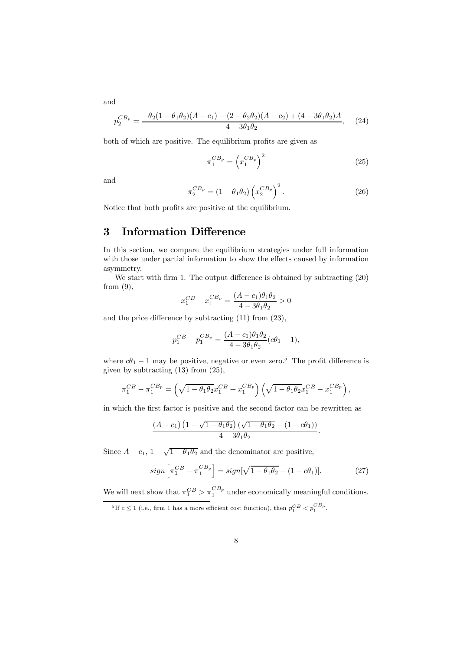$p_2^{CB_p} = \frac{-\theta_2(1-\theta_1\theta_2)(A-c_1)-(2-\theta_2\theta_2)(A-c_2)+(4-3\theta_1\theta_2)A}{A-3\theta_1\theta_2}$  $\frac{(2-\sigma_2\sigma_2)(1-\sigma_2)+(1-\sigma_1\sigma_2)^{1/2}}{4-3\theta_1\theta_2}$ , (24)

both of which are positive. The equilibrium profits are given as

$$
\pi_1^{CB_p} = \left(x_1^{CB_p}\right)^2 \tag{25}
$$

and

$$
\pi_2^{CB_p} = (1 - \theta_1 \theta_2) \left( x_2^{CB_p} \right)^2.
$$
 (26)

Notice that both profits are positive at the equilibrium.

### 3 Information Difference

In this section, we compare the equilibrium strategies under full information with those under partial information to show the effects caused by information asymmetry.

We start with firm 1. The output difference is obtained by subtracting (20) from  $(9)$ ,

$$
x_1^{CB} - x_1^{CB_p} = \frac{(A - c_1)\theta_1\theta_2}{4 - 3\theta_1\theta_2} > 0
$$

and the price difference by subtracting (11) from (23),

$$
p_1^{CB} - p_1^{CB_P} = \frac{(A - c_1)\theta_1\theta_2}{4 - 3\theta_1\theta_2} (c\theta_1 - 1),
$$

where  $c\theta_1 - 1$  may be positive, negative or even zero.<sup>5</sup> The profit difference is given by subtracting (13) from (25),

$$
\pi_1^{CB} - \pi_1^{CB_p} = \left(\sqrt{1 - \theta_1 \theta_2} x_1^{CB} + x_1^{CB_p}\right) \left(\sqrt{1 - \theta_1 \theta_2} x_1^{CB} - x_1^{CB_p}\right),
$$

in which the first factor is positive and the second factor can be rewritten as

$$
\frac{(A-c_1)\left(1-\sqrt{1-\theta_1\theta_2}\right)(\sqrt{1-\theta_1\theta_2}-(1-c\theta_1))}{4-3\theta_1\theta_2}.
$$

Since  $A - c_1$ ,  $1 - \sqrt{1 - \theta_1 \theta_2}$  and the denominator are positive,

$$
sign\left[\pi_1^{CB} - \pi_1^{CB_p}\right] = sign[\sqrt{1 - \theta_1\theta_2} - (1 - c\theta_1)].
$$
 (27)

We will next show that  $\pi_1^{CB} > \pi_1^{CB_p}$  under economically meaningful conditions.

and

<sup>&</sup>lt;sup>5</sup>If  $c \le 1$  (i.e., firm 1 has a more efficient cost function), then  $p_1^{CB} < p_1^{CB_p}$ .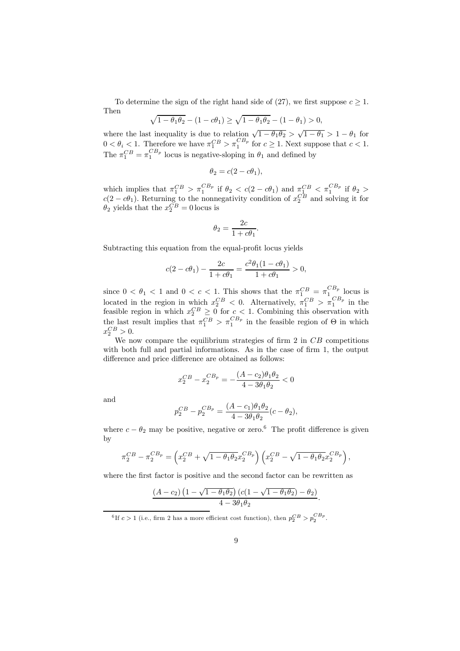To determine the sign of the right hand side of (27), we first suppose  $c \geq 1$ . Then

$$
\sqrt{1-\theta_1\theta_2} - (1-c\theta_1) \ge \sqrt{1-\theta_1\theta_2} - (1-\theta_1) > 0,
$$

where the last inequality is due to relation  $\sqrt{1 - \theta_1 \theta_2} > \sqrt{1 - \theta_1} > 1 - \theta_1$  for  $0 < \theta_i < 1$ . Therefore we have  $\pi_1^{CB} > \pi_1^{CB_p}$  for  $c \geq 1$ . Next suppose that  $c < 1$ . The  $\pi_1^{CB} = \pi_1^{CB_p}$  locus is negative-sloping in  $\theta_1$  and defined by

$$
\theta_2 = c(2 - c\theta_1),
$$

which implies that  $\pi_1^{CB} > \pi_1^{CB_p}$  if  $\theta_2 < c(2 - c\theta_1)$  and  $\pi_1^{CB} < \pi_1^{CB_p}$  if  $\theta_2 > c(2 - c\theta_1)$  $c(2 - c\theta_1)$ . Returning to the nonnegativity condition of  $x_2^{CB}$  and solving it for  $\theta_2$  yields that the  $x_2^{CB} = 0$  locus is

$$
\theta_2 = \frac{2c}{1 + c\theta_1}.
$$

Subtracting this equation from the equal-profit locus yields

$$
c(2 - c\theta_1) - \frac{2c}{1 + c\theta_1} = \frac{c^2 \theta_1 (1 - c\theta_1)}{1 + c\theta_1} > 0,
$$

since  $0 < \theta_1 < 1$  and  $0 < c < 1$ . This shows that the  $\pi_1^{CB} = \pi_1^{CB_p}$  locus is located in the region in which  $x_2^{CB} < 0$ . Alternatively,  $\pi_1^{CB} > \pi_1^{CB_p}$  in the feasible region in which  $x_2^{CB} \geq 0$  for  $c < 1$ . Combining this observation with the last result implies that  $\pi_1^{CB} > \pi_1^{CB_p}$  in the feasible region of  $\Theta$  in which  $x_2^{CB} > 0.$ 

We now compare the equilibrium strategies of firm  $2$  in  $CB$  competitions with both full and partial informations. As in the case of firm 1, the output difference and price difference are obtained as follows:

$$
x_2^{CB} - x_2^{CB_p} = -\frac{(A - c_2)\theta_1\theta_2}{4 - 3\theta_1\theta_2} < 0
$$

and

$$
p_2^{CB} - p_2^{CB_P} = \frac{(A - c_1)\theta_1\theta_2}{4 - 3\theta_1\theta_2}(c - \theta_2),
$$

where  $c - \theta_2$  may be positive, negative or zero.<sup>6</sup> The profit difference is given by

$$
\pi_2^{CB} - \pi_2^{CB_p} = \left( x_2^{CB} + \sqrt{1 - \theta_1 \theta_2} x_2^{CB_p} \right) \left( x_2^{CB} - \sqrt{1 - \theta_1 \theta_2} x_2^{CB_p} \right),
$$

where the first factor is positive and the second factor can be rewritten as

$$
\frac{(A-c_2)\left(1-\sqrt{1-\theta_1\theta_2}\right)(c(1-\sqrt{1-\theta_1\theta_2})-\theta_2)}{4-3\theta_1\theta_2}.
$$

<sup>&</sup>lt;sup>6</sup>If  $c > 1$  (i.e., firm 2 has a more efficient cost function), then  $p_2^{CB} > p_2^{CB_p}$ .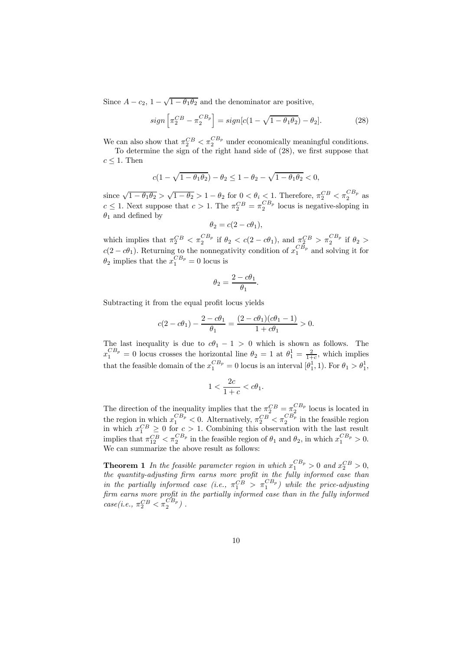Since  $A - c_2$ ,  $1 - \sqrt{1 - \theta_1 \theta_2}$  and the denominator are positive,

$$
sign\left[\pi_2^{CB} - \pi_2^{CB_p}\right] = sign[c(1 - \sqrt{1 - \theta_1\theta_2}) - \theta_2].\tag{28}
$$

We can also show that  $\pi_2^{CB} < \pi_2^{CB_p}$  under economically meaningful conditions.

To determine the sign of the right hand side of (28), we first suppose that  $c \leq 1$ . Then

$$
c(1 - \sqrt{1 - \theta_1 \theta_2}) - \theta_2 \le 1 - \theta_2 - \sqrt{1 - \theta_1 \theta_2} < 0,
$$

since  $\sqrt{1-\theta_1\theta_2} > \sqrt{1-\theta_2} > 1-\theta_2$  for  $0 < \theta_i < 1$ . Therefore,  $\pi_2^{CB} < \pi_2^{CB_p}$  as  $c \leq 1$ . Next suppose that  $c > 1$ . The  $\pi_2^{CB} = \pi_2^{CB_p}$  locus is negative-sloping in  $\theta_1$  and defined by

$$
\theta_2 = c(2 - c\theta_1),
$$

which implies that  $\pi_2^{CB} < \pi_2^{CB_p}$  if  $\theta_2 < c(2 - c\theta_1)$ , and  $\pi_2^{CB} > \pi_2^{CB_p}$  if  $\theta_2 >$  $c(2 - c\theta_1)$ . Returning to the nonnegativity condition of  $x_1^{CB_p}$  and solving it for  $\theta_2$  implies that the  $x_1^{CB_p} = 0$  locus is

$$
\theta_2=\frac{2-c\theta_1}{\theta_1}
$$

.

Subtracting it from the equal profit locus yields

$$
c(2 - c\theta_1) - \frac{2 - c\theta_1}{\theta_1} = \frac{(2 - c\theta_1)(c\theta_1 - 1)}{1 + c\theta_1} > 0.
$$

The last inequality is due to  $c\theta_1 - 1 > 0$  which is shown as follows. The  $x_1^{CB_p} = 0$  locus crosses the horizontal line  $\theta_2 = 1$  at  $\theta_1^1 = \frac{2}{1+c}$ , which implies that the feasible domain of the  $x_1^{CB_p} = 0$  locus is an interval  $[\theta_1^1, 1)$ . For  $\theta_1 > \theta_1^1$ ,

$$
1<\frac{2c}{1+c}
$$

The direction of the inequality implies that the  $\pi_2^{CB} = \pi_2^{CB_p}$  locus is located in the region in which  $x_1^{CB_p} < 0$ . Alternatively,  $\pi_2^{CB} < \pi_2^{CB_p}$  in the feasible region in which  $x_1^{CB} \geq 0$  for  $c > 1$ . Combining this observation with the last result implies that  $\pi_{12}^{CB} < \pi_2^{CB_p}$  in the feasible region of  $\theta_1$  and  $\theta_2$ , in which  $x_1^{CB_p} > 0$ . We can summarize the above result as follows:

**Theorem 1** In the feasible parameter region in which  $x_1^{CB_p} > 0$  and  $x_2^{CB} > 0$ , the quantity-adjusting firm earns more profit in the fully informed case than in the partially informed case (i.e.,  $\pi_1^{CB} > \pi_1^{CB_p}$ ) while the price-adjusting firm earns more profit in the partially informed case than in the fully informed  $case (i.e., \pi_2^{CB} < \pi_2^{CB_p})$ .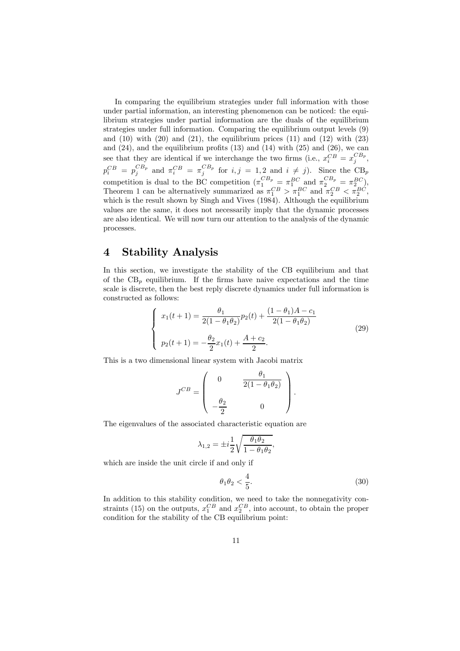In comparing the equilibrium strategies under full information with those under partial information, an interesting phenomenon can be noticed: the equilibrium strategies under partial information are the duals of the equilibrium strategies under full information. Comparing the equilibrium output levels (9) and  $(10)$  with  $(20)$  and  $(21)$ , the equilibrium prices  $(11)$  and  $(12)$  with  $(23)$ and  $(24)$ , and the equilibrium profits  $(13)$  and  $(14)$  with  $(25)$  and  $(26)$ , we can see that they are identical if we interchange the two firms (i.e.,  $x_i^{CB} = x_j^{CB_p}$ ,  $p_i^{CB} = p_j^{CB_p}$  and  $\pi_i^{CB} = \pi_j^{CB_p}$  for  $i, j = 1, 2$  and  $i \neq j$ ). Since the CB<sub>p</sub> competition is dual to the BC competition  $(\pi_1^{CB_p} = \pi_1^{BC} \text{ and } \pi_2^{CB_p} = \pi_2^{BC}),$ Theorem 1 can be alternatively summarized as  $\pi_1^{CB} > \pi_1^{BC}$  and  $\pi_2^{CB} < \pi_2^{BC}$ , which is the result shown by Singh and Vives (1984). Although the equilibrium values are the same, it does not necessarily imply that the dynamic processes are also identical. We will now turn our attention to the analysis of the dynamic processes.

## 4 Stability Analysis

In this section, we investigate the stability of the CB equilibrium and that of the  $CB_p$  equilibrium. If the firms have naive expectations and the time scale is discrete, then the best reply discrete dynamics under full information is constructed as follows:

$$
\begin{cases}\nx_1(t+1) = \frac{\theta_1}{2(1-\theta_1\theta_2)}p_2(t) + \frac{(1-\theta_1)A - c_1}{2(1-\theta_1\theta_2)} \\
p_2(t+1) = -\frac{\theta_2}{2}x_1(t) + \frac{A + c_2}{2}.\n\end{cases}
$$
\n(29)

This is a two dimensional linear system with Jacobi matrix

$$
J^{CB} = \begin{pmatrix} 0 & \frac{\theta_1}{2(1-\theta_1\theta_2)} \\ \frac{\theta_2}{2} & 0 \end{pmatrix}.
$$

The eigenvalues of the associated characteristic equation are

$$
\lambda_{1,2} = \pm i \frac{1}{2} \sqrt{\frac{\theta_1 \theta_2}{1 - \theta_1 \theta_2}},
$$

which are inside the unit circle if and only if

$$
\theta_1 \theta_2 < \frac{4}{5}.\tag{30}
$$

In addition to this stability condition, we need to take the nonnegativity constraints (15) on the outputs,  $x_1^{CB}$  and  $x_2^{CB}$ , into account, to obtain the proper condition for the stability of the CB equilibrium point: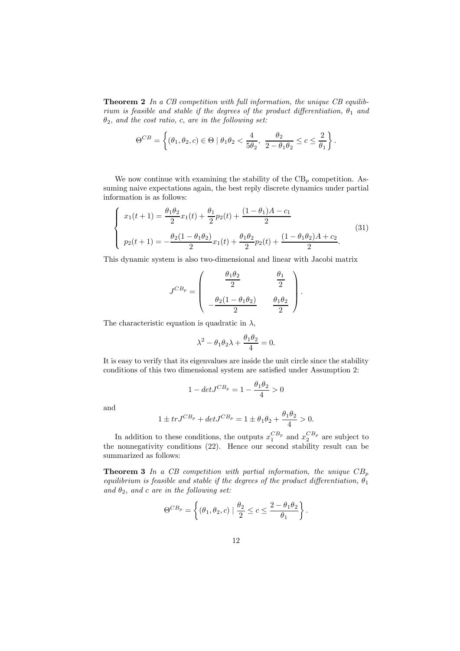Theorem 2 In a CB competition with full information, the unique CB equilibrium is feasible and stable if the degrees of the product differentiation,  $\theta_1$  and  $\theta_2$ , and the cost ratio, c, are in the following set:

$$
\Theta^{CB} = \left\{ (\theta_1, \theta_2, c) \in \Theta \mid \theta_1 \theta_2 < \frac{4}{5\theta_2}, \ \frac{\theta_2}{2 - \theta_1 \theta_2} \le c \le \frac{2}{\theta_1} \right\}.
$$

We now continue with examining the stability of the  $CB_p$  competition. Assuming naive expectations again, the best reply discrete dynamics under partial information is as follows:

$$
\begin{cases}\nx_1(t+1) = \frac{\theta_1 \theta_2}{2} x_1(t) + \frac{\theta_1}{2} p_2(t) + \frac{(1 - \theta_1)A - c_1}{2} \\
p_2(t+1) = -\frac{\theta_2 (1 - \theta_1 \theta_2)}{2} x_1(t) + \frac{\theta_1 \theta_2}{2} p_2(t) + \frac{(1 - \theta_1 \theta_2)A + c_2}{2}.\n\end{cases}
$$
\n(31)

This dynamic system is also two-dimensional and linear with Jacobi matrix

$$
J^{CB_p} = \begin{pmatrix} \frac{\theta_1 \theta_2}{2} & \frac{\theta_1}{2} \\ -\frac{\theta_2 (1 - \theta_1 \theta_2)}{2} & \frac{\theta_1 \theta_2}{2} \end{pmatrix}.
$$

The characteristic equation is quadratic in  $\lambda$ ,

$$
\lambda^2 - \theta_1 \theta_2 \lambda + \frac{\theta_1 \theta_2}{4} = 0.
$$

It is easy to verify that its eigenvalues are inside the unit circle since the stability conditions of this two dimensional system are satisfied under Assumption 2:

$$
1 - det J^{CB_p} = 1 - \frac{\theta_1 \theta_2}{4} > 0
$$

and

$$
1 \pm trJ^{CB_p} + detJ^{CB_p} = 1 \pm \theta_1 \theta_2 + \frac{\theta_1 \theta_2}{4} > 0.
$$

In addition to these conditions, the outputs  $x_1^{CB_p}$  and  $x_2^{CB_p}$  are subject to the nonnegativity conditions (22). Hence our second stability result can be summarized as follows:

**Theorem 3** In a CB competition with partial information, the unique  $CB_p$ equilibrium is feasible and stable if the degrees of the product differentiation,  $\theta_1$ and  $\theta_2$ , and c are in the following set:

$$
\Theta^{CB_p} = \left\{ (\theta_1, \theta_2, c) \mid \frac{\theta_2}{2} \leq c \leq \frac{2 - \theta_1 \theta_2}{\theta_1} \right\}.
$$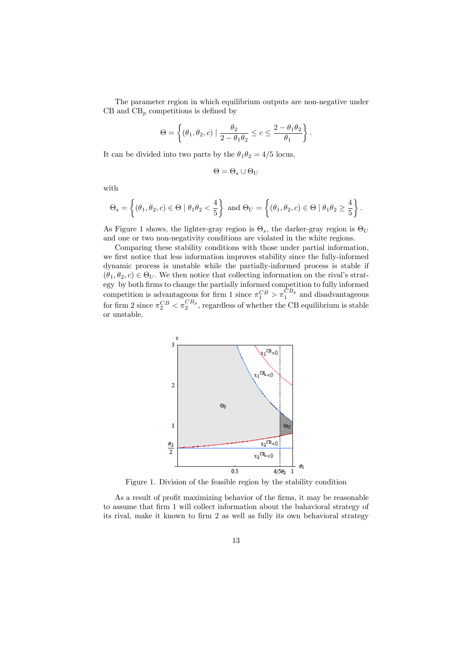The parameter region in which equilibrium outputs are non-negative under CB and  $CB_p$  competitions is defined by

$$
\Theta = \left\{ (\theta_1, \theta_2, c) \mid \frac{\theta_2}{2 - \theta_1 \theta_2} \le c \le \frac{2 - \theta_1 \theta_2}{\theta_1} \right\}
$$

.

It can be divided into two parts by the  $\theta_1 \theta_2 = 4/5$  locus,

$$
\Theta = \Theta_s \cup \Theta_U
$$

with

$$
\Theta_s=\left\{(\theta_1,\theta_2,c)\in \Theta\mid \theta_1\theta_2<\frac{4}{5}\right\}\text{ and }\Theta_U=\left\{(\theta_1,\theta_2,c)\in \Theta\mid \theta_1\theta_2\geq \frac{4}{5}\right\}.
$$

As Figure 1 shows, the lighter-gray region is  $\Theta_s$ , the darker-gray region is  $\Theta_U$ and one or two non-negativity conditions are violated in the white regions.

Comparing these stability conditions with those under partial information, we first notice that less information improves stability since the fully-informed dynamic process is unstable while the partially-informed process is stable if  $(\theta_1, \theta_2, c) \in \Theta_U$ . We then notice that collecting information on the rival's strategy by both firms to change the partially informed competition to fully informed competition is advantageous for firm 1 since  $\pi_1^{CB} > \pi_1^{CB_p}$  and disadvantageous for firm 2 since  $\pi_2^{CB} < \pi_2^{CB_p}$ , regardless of whether the CB equilibrium is stable or unstable.



Figure 1. Division of the feasible region by the stability condition

As a result of profit maximizing behavior of the firms, it may be reasonable to assume that firm 1 will collect information about the bahavioral strategy of its rival, make it known to firm 2 as well as fully its own behavioral strategy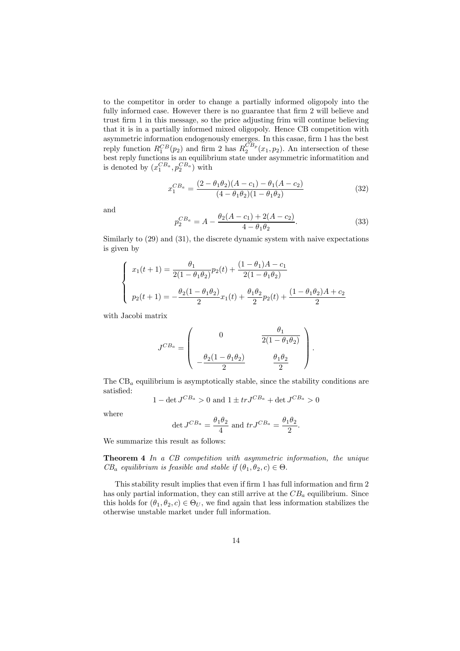to the competitor in order to change a partially informed oligopoly into the fully informed case. However there is no guarantee that firm 2 will believe and trust firm 1 in this message, so the price adjusting frim will continue believing that it is in a partially informed mixed oligopoly. Hence CB competition with asymmetric information endogenously emerges. In this casae, firm 1 has the best reply function  $R_1^{CB}(p_2)$  and firm 2 has  $R_2^{CB_p}(x_1, p_2)$ . An intersection of these best reply functions is an equilibrium state under asymmetric informatition and is denoted by  $(x_1^{CB_a}, p_2^{CB_a})$  with

$$
x_1^{CB_a} = \frac{(2 - \theta_1 \theta_2)(A - c_1) - \theta_1 (A - c_2)}{(4 - \theta_1 \theta_2)(1 - \theta_1 \theta_2)}
$$
(32)

and

$$
p_2^{CB_a} = A - \frac{\theta_2(A - c_1) + 2(A - c_2)}{4 - \theta_1 \theta_2}.
$$
\n(33)

Similarly to (29) and (31), the discrete dynamic system with naive expectations is given by

$$
\begin{cases}\nx_1(t+1) = \frac{\theta_1}{2(1-\theta_1\theta_2)}p_2(t) + \frac{(1-\theta_1)A - c_1}{2(1-\theta_1\theta_2)} \\
p_2(t+1) = -\frac{\theta_2(1-\theta_1\theta_2)}{2}x_1(t) + \frac{\theta_1\theta_2}{2}p_2(t) + \frac{(1-\theta_1\theta_2)A + c_2}{2}\n\end{cases}
$$

with Jacobi matrix

$$
J^{CB_a} = \begin{pmatrix} 0 & \frac{\theta_1}{2(1-\theta_1\theta_2)} \\ \frac{\theta_2(1-\theta_1\theta_2)}{2} & \frac{\theta_1\theta_2}{2} \end{pmatrix}.
$$

The  $CB<sub>a</sub>$  equilibrium is asymptotically stable, since the stability conditions are satisfied:

$$
1 - \det J^{CB_a} > 0
$$
 and  $1 \pm tr J^{CB_a} + \det J^{CB_a} > 0$ 

where

$$
\det J^{CB_a} = \frac{\theta_1 \theta_2}{4} \text{ and } tr J^{CB_a} = \frac{\theta_1 \theta_2}{2}.
$$

We summarize this result as follows:

Theorem 4 In a CB competition with asymmetric information, the unique  $CB_a$  equilibrium is feasible and stable if  $(\theta_1, \theta_2, c) \in \Theta$ .

This stability result implies that even if firm 1 has full information and firm 2 has only partial information, they can still arrive at the  $CB<sub>a</sub>$  equilibrium. Since this holds for  $(\theta_1, \theta_2, c) \in \Theta_U$ , we find again that less information stabilizes the otherwise unstable market under full information.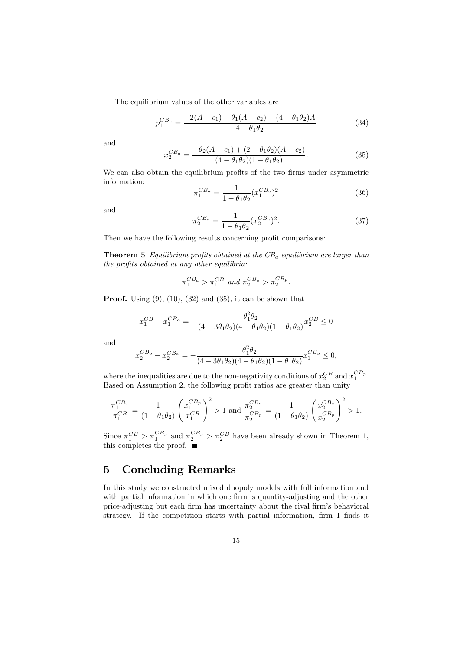The equilibrium values of the other variables are

$$
p_1^{CB_a} = \frac{-2(A - c_1) - \theta_1(A - c_2) + (4 - \theta_1 \theta_2)A}{4 - \theta_1 \theta_2} \tag{34}
$$

and

$$
x_2^{CB_a} = \frac{-\theta_2(A - c_1) + (2 - \theta_1 \theta_2)(A - c_2)}{(4 - \theta_1 \theta_2)(1 - \theta_1 \theta_2)}.
$$
(35)

We can also obtain the equilibrium profits of the two firms under asymmetric information:

$$
\pi_1^{CB_a} = \frac{1}{1 - \theta_1 \theta_2} (x_1^{CB_a})^2 \tag{36}
$$

and

$$
\pi_2^{CB_a} = \frac{1}{1 - \theta_1 \theta_2} (x_2^{CB_a})^2.
$$
\n(37)

Then we have the following results concerning profit comparisons:

**Theorem 5** Equilibrium profits obtained at the  $CB<sub>a</sub>$  equilibrium are larger than the profits obtained at any other equilibria:

$$
\pi_1^{CB_a} > \pi_1^{CB} \text{ and } \pi_2^{CB_a} > \pi_2^{CB_p}.
$$

**Proof.** Using  $(9)$ ,  $(10)$ ,  $(32)$  and  $(35)$ , it can be shown that

$$
x_1^{CB} - x_1^{CB_a} = -\frac{\theta_1^2 \theta_2}{(4 - 3\theta_1 \theta_2)(4 - \theta_1 \theta_2)(1 - \theta_1 \theta_2)} x_2^{CB} \le 0
$$

and

$$
x_2^{CB_p} - x_2^{CB_a} = -\frac{\theta_1^2 \theta_2}{(4 - 3\theta_1 \theta_2)(4 - \theta_1 \theta_2)(1 - \theta_1 \theta_2)} x_1^{CB_p} \le 0,
$$

where the inequalities are due to the non-negativity conditions of  $x_2^{CB}$  and  $x_1^{CB_p}$ . Based on Assumption 2, the following profit ratios are greater than unity

$$
\frac{\pi_1^{CB_a}}{\pi_1^{CB}} = \frac{1}{(1 - \theta_1 \theta_2)} \left(\frac{x_1^{CB_p}}{x_1^{CB}}\right)^2 > 1 \text{ and } \frac{\pi_2^{CB_a}}{\pi_2^{CB_p}} = \frac{1}{(1 - \theta_1 \theta_2)} \left(\frac{x_2^{CB_a}}{x_2^{CB_p}}\right)^2 > 1.
$$

Since  $\pi_1^{CB} > \pi_1^{CB_p}$  and  $\pi_2^{CB_p} > \pi_2^{CB}$  have been already shown in Theorem 1, this completes the proof.

### 5 Concluding Remarks

In this study we constructed mixed duopoly models with full information and with partial information in which one firm is quantity-adjusting and the other price-adjusting but each firm has uncertainty about the rival firm's behavioral strategy. If the competition starts with partial information, firm 1 finds it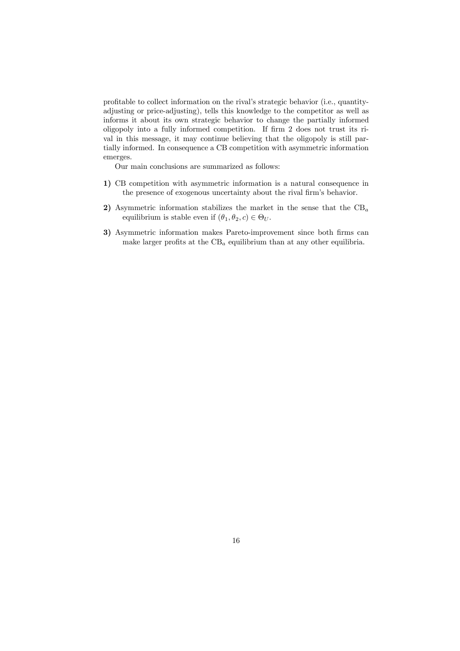profitable to collect information on the rival's strategic behavior (i.e., quantityadjusting or price-adjusting), tells this knowledge to the competitor as well as informs it about its own strategic behavior to change the partially informed oligopoly into a fully informed competition. If firm 2 does not trust its rival in this message, it may continue believing that the oligopoly is still partially informed. In consequence a CB competition with asymmetric information emerges.

Our main conclusions are summarized as follows:

- 1) CB competition with asymmetric information is a natural consequence in the presence of exogenous uncertainty about the rival firm's behavior.
- 2) Asymmetric information stabilizes the market in the sense that the  $CB<sub>a</sub>$ equilibrium is stable even if  $(\theta_1, \theta_2, c) \in \Theta_U$ .
- 3) Asymmetric information makes Pareto-improvement since both firms can make larger profits at the  $CB<sub>a</sub>$  equilibrium than at any other equilibria.